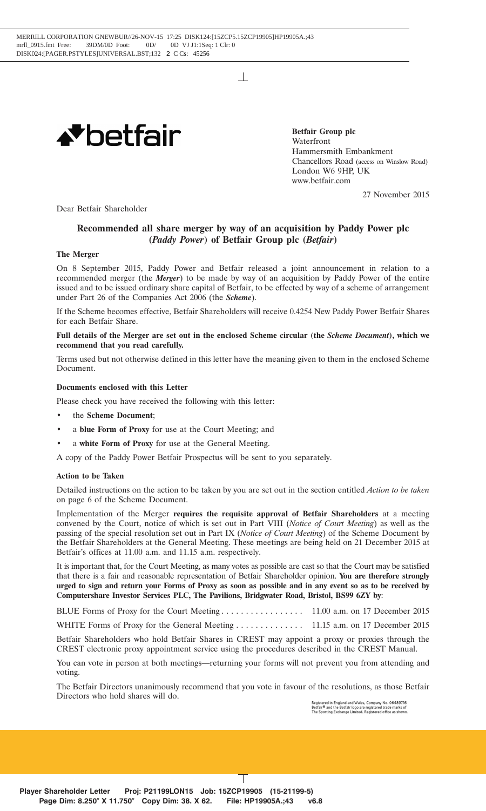$\mathbb{R}$ 



**Betfair Group plc** Waterfront Hammersmith Embankment Chancellors Road (access on Winslow Road) London W6 9HP, UK www.betfair.com

27 November 2015

Dear Betfair Shareholder

# **Recommended all share merger by way of an acquisition by Paddy Power plc (***Paddy Power***) of Betfair Group plc (***Betfair***)**

## **The Merger**

On 8 September 2015, Paddy Power and Betfair released a joint announcement in relation to a recommended merger (the *Merger*) to be made by way of an acquisition by Paddy Power of the entire issued and to be issued ordinary share capital of Betfair, to be effected by way of a scheme of arrangement under Part 26 of the Companies Act 2006 (the *Scheme*).

If the Scheme becomes effective, Betfair Shareholders will receive 0.4254 New Paddy Power Betfair Shares for each Betfair Share.

# **Full details of the Merger are set out in the enclosed Scheme circular (the** *Scheme Document***), which we recommend that you read carefully.**

Terms used but not otherwise defined in this letter have the meaning given to them in the enclosed Scheme Document.

# **Documents enclosed with this Letter**

Please check you have received the following with this letter:

- the **Scheme Document**;
- a **blue Form of Proxy** for use at the Court Meeting; and
- a white Form of Proxy for use at the General Meeting.

A copy of the Paddy Power Betfair Prospectus will be sent to you separately.

## **Action to be Taken**

Detailed instructions on the action to be taken by you are set out in the section entitled *Action to be taken* on page 6 of the Scheme Document.

Implementation of the Merger **requires the requisite approval of Betfair Shareholders** at a meeting convened by the Court, notice of which is set out in Part VIII (*Notice of Court Meeting*) as well as the passing of the special resolution set out in Part IX (*Notice of Court Meeting*) of the Scheme Document by the Betfair Shareholders at the General Meeting. These meetings are being held on 21 December 2015 at Betfair's offices at 11.00 a.m. and 11.15 a.m. respectively.

It is important that, for the Court Meeting, as many votes as possible are cast so that the Court may be satisfied that there is a fair and reasonable representation of Betfair Shareholder opinion. **You are therefore strongly urged to sign and return your Forms of Proxy as soon as possible and in any event so as to be received by Computershare Investor Services PLC, The Pavilions, Bridgwater Road, Bristol, BS99 6ZY by**:

BLUE Forms of Proxy for the Court Meeting ................. 11.00 a.m. on 17 December 2015

WHITE Forms of Proxy for the General Meeting .............. 11.15 a.m. on 17 December 2015

Betfair Shareholders who hold Betfair Shares in CREST may appoint a proxy or proxies through the CREST electronic proxy appointment service using the procedures described in the CREST Manual.

You can vote in person at both meetings—returning your forms will not prevent you from attending and voting.

The Betfair Directors unanimously recommend that you vote in favour of the resolutions, as those Betfair Directors who hold shares will do.

Registered in England and Wales, Company No. 06489716<br>Betfair® and the Betfair logo are registered trade marks of<br>The Sporting Exchange Limited. Registered office as shown

22NOV201510333498